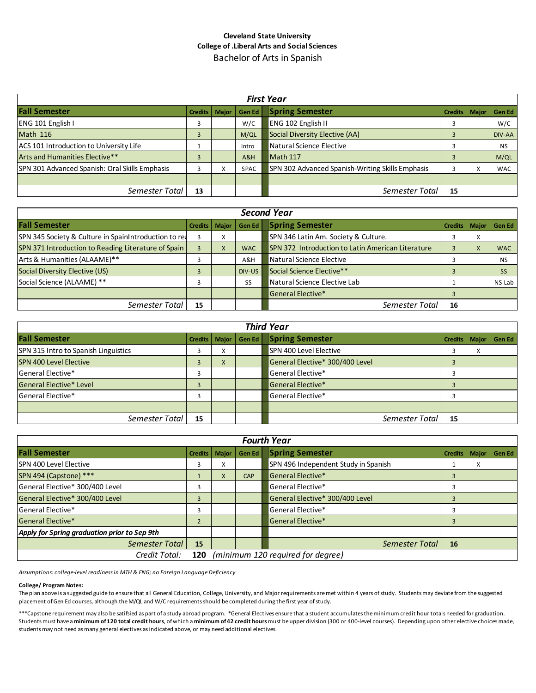## **Cleveland State University College of .Liberal Arts and Social Sciences** Bachelor of Arts in Spanish

| <b>First Year</b>                              |                 |  |             |                                                  |         |         |               |
|------------------------------------------------|-----------------|--|-------------|--------------------------------------------------|---------|---------|---------------|
| <b>Fall Semester</b>                           | Credits   Major |  | Gen Ed      | <b>Spring Semester</b>                           | Credits | Maior I | <b>Gen Ed</b> |
| ENG 101 English I                              |                 |  | W/C         | <b>ENG 102 English II</b>                        |         |         | W/C           |
| <b>Math 116</b>                                |                 |  | M/QL        | Social Diversity Elective (AA)                   |         |         | DIV-AA        |
| ACS 101 Introduction to University Life        |                 |  | Intro       | Natural Science Elective                         |         |         | <b>NS</b>     |
| Arts and Humanities Elective**                 |                 |  | A&H         | Math 117                                         |         |         | M/QL          |
| SPN 301 Advanced Spanish: Oral Skills Emphasis |                 |  | <b>SPAC</b> | SPN 302 Advanced Spanish-Writing Skills Emphasis |         |         | <b>WAC</b>    |
|                                                |                 |  |             |                                                  |         |         |               |
| Semester Total                                 | 13              |  |             | Semester Total                                   | 15      |         |               |

| <b>Second Year</b>                                    |                 |   |            |                                                   |         |              |               |  |
|-------------------------------------------------------|-----------------|---|------------|---------------------------------------------------|---------|--------------|---------------|--|
| <b>Fall Semester</b>                                  | Credits   Major |   |            | Gen Ed   Spring Semester                          | Credits | <b>Maior</b> | <b>Gen Ed</b> |  |
| SPN 345 Society & Culture in SpainIntroduction to rea |                 | x |            | SPN 346 Latin Am. Society & Culture.              |         | X            |               |  |
| SPN 371 Introduction to Reading Literature of Spain   |                 | X | <b>WAC</b> | SPN 372 Introduction to Latin American Literature |         | X            | <b>WAC</b>    |  |
| Arts & Humanities (ALAAME)**                          |                 |   | A&H        | Natural Science Elective                          |         |              | <b>NS</b>     |  |
| Social Diversity Elective (US)                        |                 |   | DIV-US     | Social Science Elective**                         |         |              | <b>SS</b>     |  |
| Social Science (ALAAME) **                            |                 |   | SS         | Natural Science Elective Lab                      |         |              | NS Lab        |  |
|                                                       |                 |   |            | <b>General Elective*</b>                          |         |              |               |  |
| Semester Total                                        | 15              |   |            | Semester Total                                    | 16      |              |               |  |

| <b>Third Year</b>                    |                 |           |        |                                 |                 |        |        |  |
|--------------------------------------|-----------------|-----------|--------|---------------------------------|-----------------|--------|--------|--|
| <b>Fall Semester</b>                 | Credits   Major |           | Gen Ed | <b>Spring Semester</b>          | Credits   Major |        | Gen Ed |  |
| SPN 315 Intro to Spanish Linguistics |                 | $\sim$    |        | SPN 400 Level Elective          |                 | $\sim$ |        |  |
| <b>SPN 400 Level Elective</b>        |                 | $\lambda$ |        | General Elective* 300/400 Level |                 |        |        |  |
| General Elective*                    |                 |           |        | General Elective*               |                 |        |        |  |
| General Elective* Level              |                 |           |        | General Elective*               |                 |        |        |  |
| General Elective*                    |                 |           |        | General Elective*               | 3               |        |        |  |
|                                      |                 |           |        |                                 |                 |        |        |  |
| Semester Total                       | 15              |           |        | Semester Total                  | 15              |        |        |  |

| <b>Fourth Year</b>                                        |                |              |        |                                      |                |              |        |
|-----------------------------------------------------------|----------------|--------------|--------|--------------------------------------|----------------|--------------|--------|
| <b>Fall Semester</b>                                      | <b>Credits</b> | <b>Major</b> | Gen Ed | <b>Spring Semester</b>               | <b>Credits</b> | <b>Major</b> | Gen Ed |
| ISPN 400 Level Elective                                   | 1              | $\sim$       |        | SPN 496 Independent Study in Spanish |                | $\sim$       |        |
| SPN 494 (Capstone) ***                                    |                | X            | CAP    | <b>General Elective*</b>             | 3              |              |        |
| General Elective* 300/400 Level                           | 3              |              |        | General Elective*                    | 3              |              |        |
| General Elective* 300/400 Level                           | 3              |              |        | General Elective* 300/400 Level      | 3              |              |        |
| General Elective*                                         | 3              |              |        | General Elective*                    | 3              |              |        |
| <b>General Elective*</b>                                  | ำ              |              |        | General Elective*                    | 3              |              |        |
| Apply for Spring graduation prior to Sep 9th              |                |              |        |                                      |                |              |        |
| <b>Semester Total</b>                                     | 15             |              |        | Semester Total                       | 16             |              |        |
| (minimum 120 required for degree)<br>Credit Total:<br>120 |                |              |        |                                      |                |              |        |

*Assumptions: college-level readiness in MTH & ENG; no Foreign Language Deficiency*

#### **College/ Program Notes:**

The plan above is a suggested guide to ensure that all General Education, College, University, and Major requirements are met within 4 years of study. Students may deviate from the suggested placement of Gen Ed courses, although the M/QL and W/C requirements should be completed during the first year of study.

\*\*\*Capstone requirement may also be satifsied as part of a study abroad program. \*General Electives ensure that a student accumulates the minimum credit hour totals needed for graduation. Students must have a **minimum of 120 total credit hours**, of which a **minimum of 42 credit hours** must be upper division (300 or 400-level courses). Depending upon other elective choices made, students may not need as many general electives as indicated above, or may need additional electives.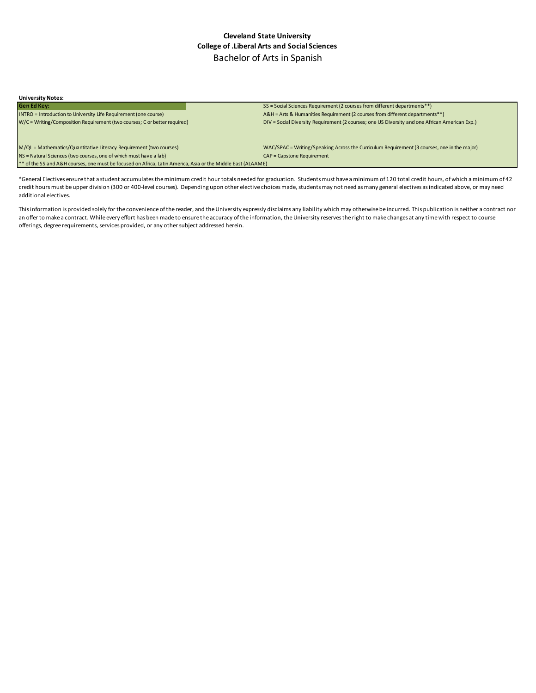### **Cleveland State University College of .Liberal Arts and Social Sciences** Bachelor of Arts in Spanish

| <b>University Notes:</b>                                                                                     |                                                                                                |
|--------------------------------------------------------------------------------------------------------------|------------------------------------------------------------------------------------------------|
| <b>Gen Ed Key:</b>                                                                                           | SS = Social Sciences Requirement (2 courses from different departments**)                      |
| INTRO = Introduction to University Life Requirement (one course)                                             | A&H = Arts & Humanities Requirement (2 courses from different departments**)                   |
| W/C = Writing/Composition Requirement (two courses; C or better required)                                    | DIV = Social Diversity Requirement (2 courses; one US Diversity and one African American Exp.) |
|                                                                                                              |                                                                                                |
| M/QL = Mathematics/Quantitative Literacy Requirement (two courses)                                           | WAC/SPAC = Writing/Speaking Across the Curriculum Requirement (3 courses, one in the major)    |
| NS = Natural Sciences (two courses, one of which must have a lab)                                            | CAP = Capstone Requirement                                                                     |
| ** of the SS and A&H courses, one must be focused on Africa, Latin America, Asia or the Middle East (ALAAME) |                                                                                                |

\*General Electives ensure that a student accumulates the minimum credit hour totals needed for graduation. Students must have a minimum of 120 total credit hours, of which a minimum of 42 credit hours must be upper division (300 or 400-level courses). Depending upon other elective choices made, students may not need as many general electives as indicated above, or may need additional electives.

This information is provided solely for the convenience of the reader, and the University expressly disclaims any liability which may otherwise be incurred. This publication is neither a contract nor an offer to make a contract. While every effort has been made to ensure the accuracy of the information, the University reserves the right to make changes at any time with respect to course offerings, degree requirements, services provided, or any other subject addressed herein.